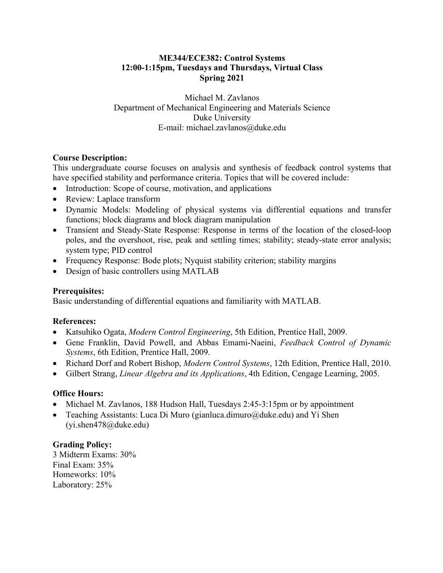## **ME344/ECE382: Control Systems 12:00-1:15pm, Tuesdays and Thursdays, Virtual Class Spring 2021**

Michael M. Zavlanos Department of Mechanical Engineering and Materials Science Duke University E-mail: michael.zavlanos@duke.edu

# **Course Description:**

This undergraduate course focuses on analysis and synthesis of feedback control systems that have specified stability and performance criteria. Topics that will be covered include:

- Introduction: Scope of course, motivation, and applications
- Review: Laplace transform
- Dynamic Models: Modeling of physical systems via differential equations and transfer functions; block diagrams and block diagram manipulation
- Transient and Steady-State Response: Response in terms of the location of the closed-loop poles, and the overshoot, rise, peak and settling times; stability; steady-state error analysis; system type; PID control
- Frequency Response: Bode plots; Nyquist stability criterion; stability margins
- Design of basic controllers using MATLAB

## **Prerequisites:**

Basic understanding of differential equations and familiarity with MATLAB.

### **References:**

- Katsuhiko Ogata, *Modern Control Engineering*, 5th Edition, Prentice Hall, 2009.
- Gene Franklin, David Powell, and Abbas Emami-Naeini, *Feedback Control of Dynamic Systems*, 6th Edition, Prentice Hall, 2009.
- Richard Dorf and Robert Bishop, *Modern Control Systems*, 12th Edition, Prentice Hall, 2010.
- Gilbert Strang, *Linear Algebra and its Applications*, 4th Edition, Cengage Learning, 2005.

### **Office Hours:**

- Michael M. Zavlanos, 188 Hudson Hall, Tuesdays 2:45-3:15pm or by appointment
- Teaching Assistants: Luca Di Muro (gianluca.dimuro@duke.edu) and Yi Shen (yi.shen478@duke.edu)

### **Grading Policy:**

3 Midterm Exams: 30% Final Exam: 35% Homeworks: 10% Laboratory: 25%